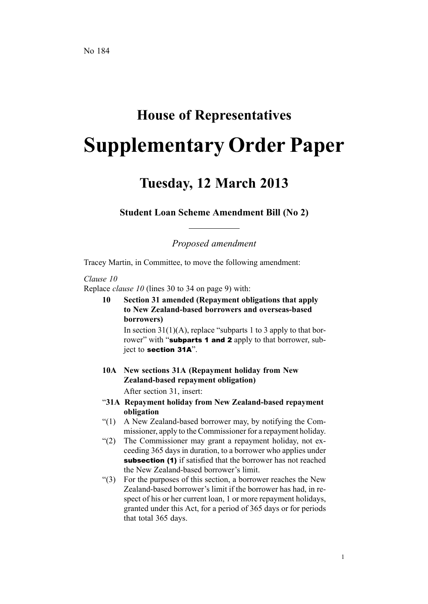## **House of Representatives Supplementary Order Paper**

## **Tuesday, 12 March 2013**

**Student Loan Scheme Amendment Bill (No 2)**

*Proposed amendment*

Tracey Martin, in Committee, to move the following amendment:

## *Clause 10*

Replace *clause 10* (lines 30 to 34 on page 9) with:

**10 Section 31 amended (Repayment obligations that apply to New Zealand-based borrowers and overseas-based borrowers)**

In section  $31(1)(A)$ , replace "subparts 1 to 3 apply to that borrower" with "subparts 1 and 2 apply to that borrower, subject to section 31A".

- **10A New sections 31A (Repayment holiday from New Zealand-based repayment obligation)** After section 31, insert:
- "**31A Repayment holiday from New Zealand-based repayment obligation**
- "(1) A New Zealand-based borrower may, by notifying the Commissioner, apply to the Commissioner for <sup>a</sup> repaymen<sup>t</sup> holiday.
- "(2) The Commissioner may gran<sup>t</sup> <sup>a</sup> repaymen<sup>t</sup> holiday, not exceeding 365 days in duration, to <sup>a</sup> borrower who applies under subsection (1) if satisfied that the borrower has not reached the New Zealand-based borrower's limit.
- "(3) For the purposes of this section, <sup>a</sup> borrower reaches the New Zealand-based borrower's limit if the borrower has had, in respec<sup>t</sup> of his or her current loan, 1 or more repaymen<sup>t</sup> holidays, granted under this Act, for <sup>a</sup> period of 365 days or for periods that total 365 days.